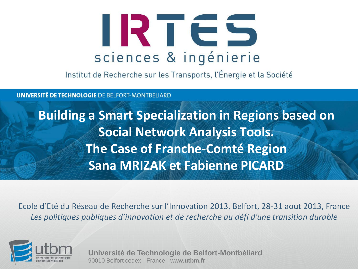

Institut de Recherche sur les Transports, l'Énergie et la Société

**UNIVERSITÉ DE TECHNOLOGIE DE BELFORT-MONTBELIARD** 

**Building a Smart Specialization in Regions based on Social Network Analysis Tools. The Case of Franche-Comté Region Sana MRIZAK et Fabienne PICARD**

Ecole d'Eté du Réseau de Recherche sur l'Innovation 2013, Belfort, 28-31 aout 2013, France *Les politiques publiques d'innovation et de recherche au défi d'une transition durable*



**Université de Technologie de Belfort-Montbéliard** 90010 Belfort cedex - France - www**.utbm.fr**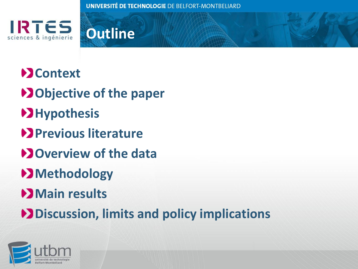



## **Example**

- **D**Objective of the paper
- **Hypothesis**
- **Previous literature**
- **D**Overview of the data
- **Methodology**
- **Main results**
- **Discussion, limits and policy implications**

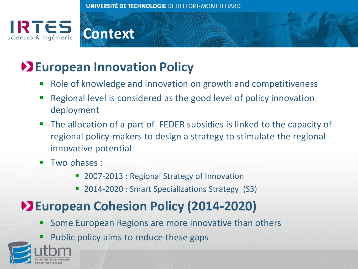



### **European Innovation Policy**

- Role of knowledge and innovation on growth and competitiveness
- Regional level is considered as the good level of policy innovation deployment
- The allocation of a part of FEDER subsidies is linked to the capacity of regional policy-makers to design a strategy to stimulate the regional innovative potential
- **Two phases:** 
	- 2007-2013 : Regional Strategy of Innovation
	- 2014-2020 : Smart Specializations Strategy (S3)

## **European Cohesion Policy (2014-2020)**

- Some European Regions are more innovative than others
- Public policy aims to reduce these gaps

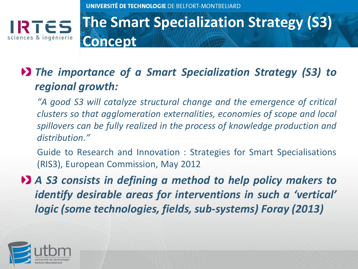

## **The Smart Specialization Strategy (S3) Concept**

#### *The importance of a Smart Specialization Strategy (S3) to regional growth:*

*"A good S3 will catalyze structural change and the emergence of critical clusters so that agglomeration externalities, economies of scope and local spillovers can be fully realized in the process of knowledge production and distribution."*

Guide to Research and Innovation : Strategies for Smart Specialisations (RIS3), European Commission, May 2012

*A S3 consists in defining a method to help policy makers to identify desirable areas for interventions in such a 'vertical' logic (some technologies, fields, sub-systems) Foray (2013)*

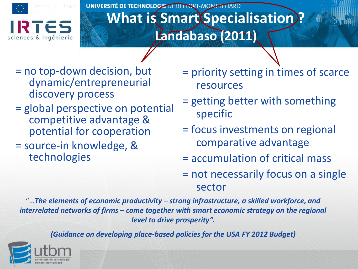

#### UNIVERSITÉ DE TECHNOLOGIE DE BELFORT-MONFBELIARD **What is Smart Specialisation? Landabaso (2011)**

- = no top-down decision, but dynamic/entrepreneurial discovery process
- = global perspective on potential competitive advantage & potential for cooperation
- = source-in knowledge, & technologies
- = priority setting in times of scarce resources
- = getting better with something specific
- = focus investments on regional comparative advantage
- = accumulation of critical mass
- = not necessarily focus on a single sector

"…*The elements of economic productivity – strong infrastructure, a skilled workforce, and interrelated networks of firms – come together with smart economic strategy on the regional level to drive prosperity".*

*(Guidance on developing place-based policies for the USA FY 2012 Budget)*

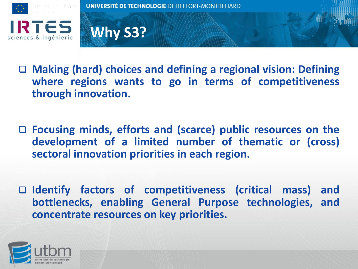



- **Making (hard) choices and defining a regional vision: Defining where regions wants to go in terms of competitiveness through innovation.**
- **Focusing minds, efforts and (scarce) public resources on the development of a limited number of thematic or (cross) sectoral innovation priorities in each region.**
- **Identify factors of competitiveness (critical mass) and bottlenecks, enabling General Purpose technologies, and concentrate resources on key priorities.**

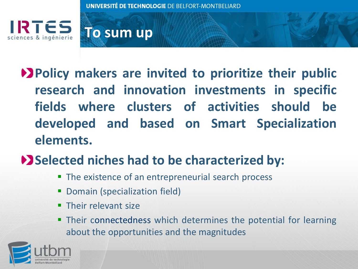



## **Policy makers are invited to prioritize their public research and innovation investments in specific fields where clusters of activities should be developed and based on Smart Specialization elements.**

#### **Selected niches had to be characterized by:**

- **The existence of an entrepreneurial search process**
- **Domain (specialization field)**
- **Their relevant size**
- **Their connectedness which determines the potential for learning** about the opportunities and the magnitudes

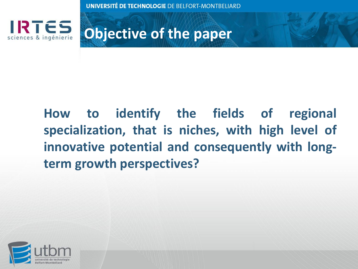

**Objective of the paper**

## **How to identify the fields of regional specialization, that is niches, with high level of innovative potential and consequently with longterm growth perspectives?**

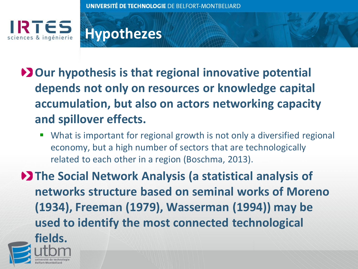

## **Hypothezes**

- **D** Our hypothesis is that regional innovative potential **depends not only on resources or knowledge capital accumulation, but also on actors networking capacity and spillover effects.**
	- What is important for regional growth is not only a diversified regional economy, but a high number of sectors that are technologically related to each other in a region (Boschma, 2013).

**The Social Network Analysis (a statistical analysis of networks structure based on seminal works of Moreno (1934), Freeman (1979), Wasserman (1994)) may be used to identify the most connected technological** 

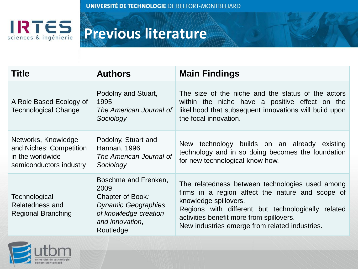

## **Previous literature**

| <b>Title</b>                                                                                  | <b>Authors</b>                                                                                                                           | <b>Main Findings</b>                                                                                                                                                                                                                                                             |  |  |
|-----------------------------------------------------------------------------------------------|------------------------------------------------------------------------------------------------------------------------------------------|----------------------------------------------------------------------------------------------------------------------------------------------------------------------------------------------------------------------------------------------------------------------------------|--|--|
| A Role Based Ecology of<br><b>Technological Change</b>                                        | Podolny and Stuart,<br>1995<br>The American Journal of<br>Sociology                                                                      | The size of the niche and the status of the actors<br>within the niche have a positive effect on the<br>likelihood that subsequent innovations will build upon<br>the focal innovation.                                                                                          |  |  |
| Networks, Knowledge<br>and Niches: Competition<br>in the worldwide<br>semiconductors industry | Podolny, Stuart and<br>Hannan, 1996<br>The American Journal of<br>Sociology                                                              | technology builds on an already existing<br>New<br>technology and in so doing becomes the foundation<br>for new technological know-how.                                                                                                                                          |  |  |
| Technological<br>Relatedness and<br><b>Regional Branching</b>                                 | Boschma and Frenken,<br>2009<br>Chapter of Book:<br><b>Dynamic Geographies</b><br>of knowledge creation<br>and innovation,<br>Routledge. | The relatedness between technologies used among<br>firms in a region affect the nature and scope of<br>knowledge spillovers.<br>Regions with different but technologically related<br>activities benefit more from spillovers.<br>New industries emerge from related industries. |  |  |

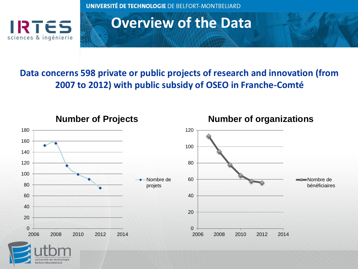

#### **Overview of the Data**

#### **Data concerns 598 private or public projects of research and innovation (from 2007 to 2012) with public subsidy of OSEO in Franche-Comté**

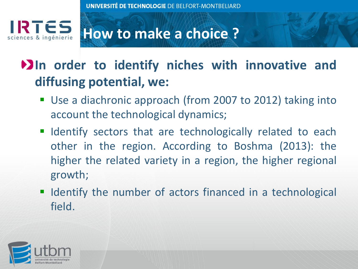

## **How to make a choice ?**

## **In order to identify niches with innovative and diffusing potential, we:**

- Use a diachronic approach (from 2007 to 2012) taking into account the technological dynamics;
- **If Identify sectors that are technologically related to each** other in the region. According to Boshma (2013): the higher the related variety in a region, the higher regional growth;
- I Identify the number of actors financed in a technological field.

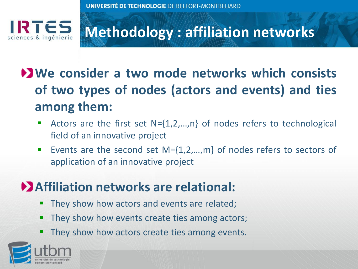

## **Methodology : affiliation networks**

## **We consider a two mode networks which consists of two types of nodes (actors and events) and ties among them:**

- Actors are the first set N={1,2,…,n} of nodes refers to technological field of an innovative project
- Events are the second set M={1,2,…,m} of nodes refers to sectors of application of an innovative project

### **Affiliation networks are relational:**

- **They show how actors and events are related;**
- **They show how events create ties among actors;**
- They show how actors create ties among events.

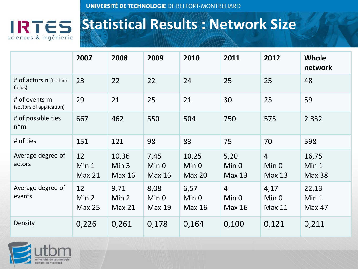

## **Statistical Results : Network Size**

|                                           | 2007                                    | 2008                                       | 2009                                          | 2010                                           | 2011                                     | 2012                                                | <b>Whole</b><br>network         |
|-------------------------------------------|-----------------------------------------|--------------------------------------------|-----------------------------------------------|------------------------------------------------|------------------------------------------|-----------------------------------------------------|---------------------------------|
| # of actors n (techno.<br>fields)         | 23                                      | 22                                         | 22                                            | 24                                             | 25                                       | 25                                                  | 48                              |
| # of events m<br>(sectors of application) | 29                                      | 21                                         | 25                                            | 21                                             | 30                                       | 23                                                  | 59                              |
| # of possible ties<br>$n*$ m              | 667                                     | 462                                        | 550                                           | 504                                            | 750                                      | 575                                                 | 2832                            |
| # of ties                                 | 151                                     | 121                                        | 98                                            | 83                                             | 75                                       | 70                                                  | 598                             |
| Average degree of<br>actors               | 12<br>Min 1<br>Max <sub>21</sub>        | 10,36<br>Min <sub>3</sub><br><b>Max 16</b> | 7,45<br>Min <sub>0</sub><br>Max <sub>16</sub> | 10,25<br>Min <sub>0</sub><br>Max <sub>20</sub> | 5,20<br>Min 0<br>Max <sub>13</sub>       | $\overline{4}$<br>Min <sub>0</sub><br><b>Max 13</b> | 16,75<br>Min 1<br><b>Max 38</b> |
| Average degree of<br>events               | 12<br>Min <sub>2</sub><br><b>Max 25</b> | 9,71<br>Min 2<br>Max <sub>21</sub>         | 8,08<br>Min <sub>0</sub><br><b>Max 19</b>     | 6,57<br>Min <sub>0</sub><br><b>Max 16</b>      | $\overline{4}$<br>Min 0<br><b>Max 16</b> | 4,17<br>Min <sub>0</sub><br><b>Max 11</b>           | 22,13<br>Min 1<br>Max 47        |
| Density                                   | 0,226                                   | 0,261                                      | 0,178                                         | 0,164                                          | 0,100                                    | 0,121                                               | 0,211                           |

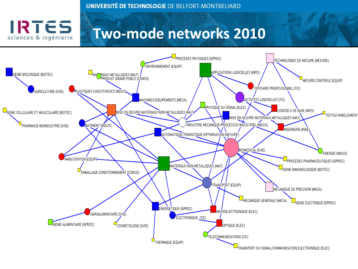RTES

sciences & ingénierie

#### **Two-mode networks 2010**

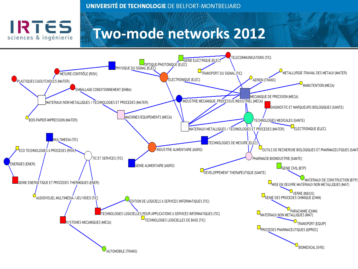

#### **Two-mode networks 2012**

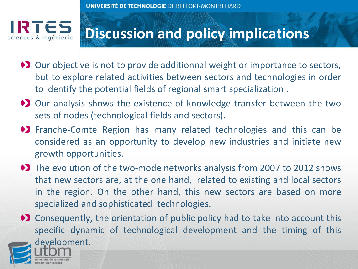## **Discussion and policy implications**

- Dur objective is not to provide additionnal weight or importance to sectors, but to explore related activities between sectors and technologies in order to identify the potential fields of regional smart specialization .
- Dur analysis shows the existence of knowledge transfer between the two sets of nodes (technological fields and sectors).
- Franche-Comté Region has many related technologies and this can be considered as an opportunity to develop new industries and initiate new growth opportunities.
- ◆ The evolution of the two-mode networks analysis from 2007 to 2012 shows that new sectors are, at the one hand, related to existing and local sectors in the region. On the other hand, this new sectors are based on more specialized and sophisticated technologies.

**EX** Consequently, the orientation of public policy had to take into account this specific dynamic of technological development and the timing of this

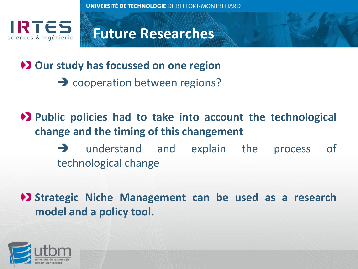

#### **Future Researches**

**Our study has focussed on one region**

**→ cooperation between regions?** 

**Public policies had to take into account the technological change and the timing of this changement** 

> understand and explain the process of technological change

**Strategic Niche Management can be used as a research model and a policy tool.**